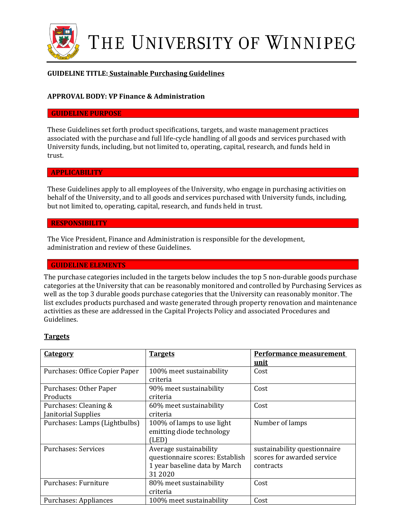

# **GUIDELINE TITLE: Sustainable Purchasing Guidelines**

#### **APPROVAL BODY: VP Finance & Administration**

#### **GUIDELINE PURPOSE**

These Guidelines set forth product specifications, targets, and waste management practices associated with the purchase and full life-cycle handling of all goods and services purchased with University funds, including, but not limited to, operating, capital, research, and funds held in trust.

**APPLICABILITY**

These Guidelines apply to all employees of the University, who engage in purchasing activities on behalf of the University, and to all goods and services purchased with University funds, including, but not limited to, operating, capital, research, and funds held in trust.

#### **RESPONSIBILITY**

The Vice President, Finance and Administration is responsible for the development, administration and review of these Guidelines.

#### **KEY DEFINITIONS GUIDELINE ELEMENTS**

The purchase categories included in the targets below includes the top 5 non-durable goods purchase categories at the University that can be reasonably monitored and controlled by Purchasing Services as well as the top 3 durable goods purchase categories that the University can reasonably monitor. The list excludes products purchased and waste generated through property renovation and maintenance activities as these are addressed in the Capital Projects Policy and associated Procedures and Guidelines.

#### **Targets**

| <b>Category</b>                              | <b>Targets</b>                                                                                        | Performance measurement<br>unit                                         |
|----------------------------------------------|-------------------------------------------------------------------------------------------------------|-------------------------------------------------------------------------|
| Purchases: Office Copier Paper               | 100% meet sustainability<br>criteria                                                                  | Cost                                                                    |
| Purchases: Other Paper<br>Products           | 90% meet sustainability<br>criteria                                                                   | Cost                                                                    |
| Purchases: Cleaning &<br>Janitorial Supplies | 60% meet sustainability<br>criteria                                                                   | Cost                                                                    |
| Purchases: Lamps (Lightbulbs)                | 100% of lamps to use light<br>emitting diode technology<br>(LED)                                      | Number of lamps                                                         |
| <b>Purchases: Services</b>                   | Average sustainability<br>questionnaire scores: Establish<br>1 year baseline data by March<br>31 2020 | sustainability questionnaire<br>scores for awarded service<br>contracts |
| Purchases: Furniture                         | 80% meet sustainability<br>criteria                                                                   | Cost                                                                    |
| <b>Purchases: Appliances</b>                 | 100% meet sustainability                                                                              | Cost                                                                    |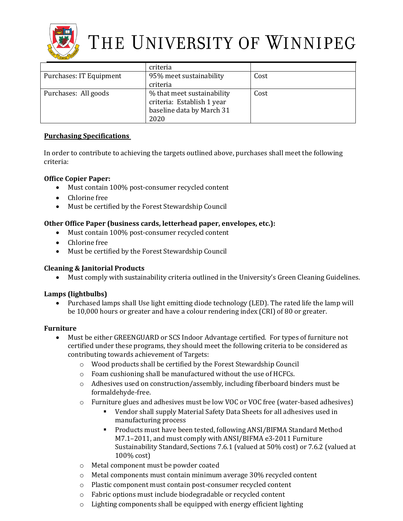

|                         | criteria                   |      |
|-------------------------|----------------------------|------|
| Purchases: IT Equipment | 95% meet sustainability    | Cost |
|                         | criteria                   |      |
| Purchases: All goods    | % that meet sustainability | Cost |
|                         | criteria: Establish 1 year |      |
|                         | baseline data by March 31  |      |
|                         | 2020                       |      |

#### **Purchasing Specifications**

In order to contribute to achieving the targets outlined above, purchases shall meet the following criteria:

# **Office Copier Paper:**

- Must contain 100% post-consumer recycled content
- Chlorine free
- Must be certified by the Forest Stewardship Council

# **Other Office Paper (business cards, letterhead paper, envelopes, etc.):**

- Must contain 100% post-consumer recycled content
- Chlorine free
- Must be certified by the Forest Stewardship Council

#### **Cleaning & Janitorial Products**

Must comply with sustainability criteria outlined in the University's Green Cleaning Guidelines.

#### **Lamps (lightbulbs)**

 Purchased lamps shall Use light emitting diode technology (LED). The rated life the lamp will be 10,000 hours or greater and have a colour rendering index (CRI) of 80 or greater.

#### **Furniture**

- Must be either GREENGUARD or SCS Indoor Advantage certified. For types of furniture not certified under these programs, they should meet the following criteria to be considered as contributing towards achievement of Targets:
	- o Wood products shall be certified by the Forest Stewardship Council
	- o Foam cushioning shall be manufactured without the use of HCFCs.
	- o Adhesives used on construction/assembly, including fiberboard binders must be formaldehyde-free.
	- o Furniture glues and adhesives must be low VOC or VOC free (water-based adhesives)
		- Vendor shall supply Material Safety Data Sheets for all adhesives used in manufacturing process
		- **Products must have been tested, following ANSI/BIFMA Standard Method** M7.1–2011, and must comply with ANSI/BIFMA e3-2011 Furniture Sustainability Standard, Sections 7.6.1 (valued at 50% cost) or 7.6.2 (valued at 100% cost)
	- o Metal component must be powder coated
	- $\circ$  Metal components must contain minimum average 30% recycled content
	- o Plastic component must contain post-consumer recycled content
	- o Fabric options must include biodegradable or recycled content
	- o Lighting components shall be equipped with energy efficient lighting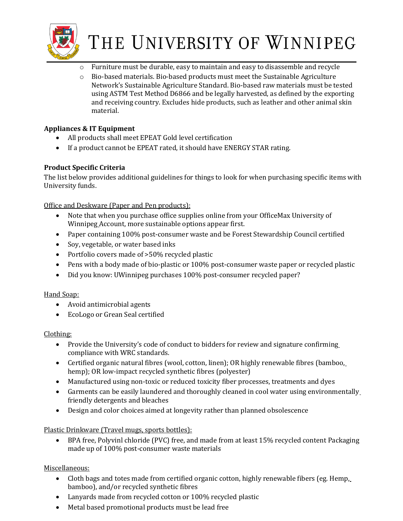

- o Furniture must be durable, easy to maintain and easy to disassemble and recycle
- $\circ$  Bio-based materials. Bio-based products must meet the Sustainable Agriculture Network's Sustainable Agriculture Standard. Bio-based raw materials must be tested using ASTM Test Method D6866 and be legally harvested, as defined by the exporting and receiving country. Excludes hide products, such as leather and other animal skin material.

#### **Appliances & IT Equipment**

- All products shall meet EPEAT Gold level certification
- If a product cannot be EPEAT rated, it should have ENERGY STAR rating.

#### **Product Specific Criteria**

The list below provides additional guidelines for things to look for when purchasing specific items with University funds.

Office and Deskware (Paper and Pen products):

- Note that when you purchase office supplies online from your OfficeMax University of Winnipeg Account, more sustainable options appear first.
- Paper containing 100% post-consumer waste and be Forest Stewardship Council certified
- Soy, vegetable, or water based inks
- Portfolio covers made of >50% recycled plastic
- Pens with a body made of bio-plastic or 100% post-consumer waste paper or recycled plastic
- Did you know: UWinnipeg purchases 100% post-consumer recycled paper?

#### Hand Soap:

- Avoid antimicrobial agents
- EcoLogo or Grean Seal certified

#### Clothing:

- Provide the University's code of conduct to bidders for review and signature confirming compliance with WRC standards.
- Certified organic natural fibres (wool, cotton, linen); OR highly renewable fibres (bamboo, hemp); OR low-impact recycled synthetic fibres (polyester)
- Manufactured using non-toxic or reduced toxicity fiber processes, treatments and dyes
- Garments can be easily laundered and thoroughly cleaned in cool water using environmentally friendly detergents and bleaches
- Design and color choices aimed at longevity rather than planned obsolescence

Plastic Drinkware (Travel mugs, sports bottles):

 BPA free, Polyvinl chloride (PVC) free, and made from at least 15% recycled content Packaging made up of 100% post-consumer waste materials

Miscellaneous:

- Cloth bags and totes made from certified organic cotton, highly renewable fibers (eg. Hemp, bamboo), and/or recycled synthetic fibres
- Lanyards made from recycled cotton or 100% recycled plastic
- Metal based promotional products must be lead free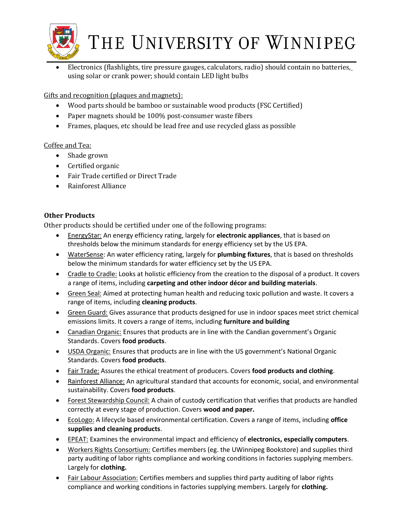

 Electronics (flashlights, tire pressure gauges, calculators, radio) should contain no batteries, using solar or crank power; should contain LED light bulbs

Gifts and recognition (plaques and magnets):

- Wood parts should be bamboo or sustainable wood products (FSC Certified)
- Paper magnets should be 100% post-consumer waste fibers
- Frames, plaques, etc should be lead free and use recycled glass as possible

# Coffee and Tea:

- Shade grown
- Certified organic
- Fair Trade certified or Direct Trade
- Rainforest Alliance

# **Other Products**

Other products should be certified under one of the following programs:

- EnergyStar: An energy efficiency rating, largely for **electronic appliances**, that is based on thresholds below the minimum standards for energy efficiency set by the US EPA.
- WaterSense: An water efficiency rating, largely for **plumbing fixtures**, that is based on thresholds below the minimum standards for water efficiency set by the US EPA.
- Cradle to Cradle: Looks at holistic efficiency from the creation to the disposal of a product. It covers a range of items, including **carpeting and other indoor décor and building materials**.
- Green Seal: Aimed at protecting human health and reducing toxic pollution and waste. It covers a range of items, including **cleaning products**.
- Green Guard: Gives assurance that products designed for use in indoor spaces meet strict chemical emissions limits. It covers a range of items, including **furniture and building**
- Canadian Organic: Ensures that products are in line with the Candian government's Organic Standards. Covers **food products**.
- USDA Organic: Ensures that products are in line with the US government's National Organic Standards. Covers **food products**.
- Fair Trade: Assures the ethical treatment of producers. Covers **food products and clothing**.
- Rainforest Alliance: An agricultural standard that accounts for economic, social, and environmental sustainability. Covers **food products**.
- Forest Stewardship Council: A chain of custody certification that verifies that products are handled correctly at every stage of production. Covers **wood and paper.**
- EcoLogo: A lifecycle based environmental certification. Covers a range of items, including **office supplies and cleaning products**.
- EPEAT: Examines the environmental impact and efficiency of **electronics, especially computers**.
- Workers Rights Consortium: Certifies members (eg. the UWinnipeg Bookstore) and supplies third party auditing of labor rights compliance and working conditions in factories supplying members. Largely for **clothing.**
- Fair Labour Association: Certifies members and supplies third party auditing of labor rights compliance and working conditions in factories supplying members. Largely for **clothing.**